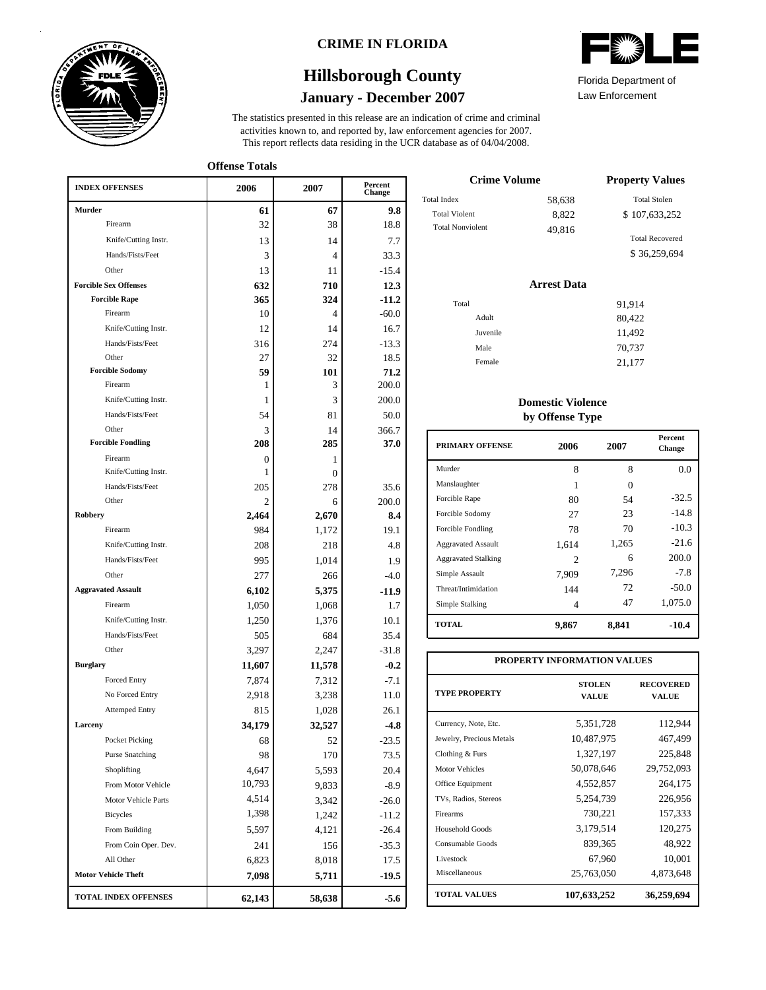

### **CRIME IN FLORIDA**

## **January - December 2007 Hillsborough County**

This report reflects data residing in the UCR database as of 04/04/2008. activities known to, and reported by, law enforcement agencies for 2007. The statistics presented in this release are an indication of crime and criminal

**Offense Totals**

| <b>INDEX OFFENSES</b>                    | 2006   | 2007             | Percent<br>Change |
|------------------------------------------|--------|------------------|-------------------|
| Murder                                   | 61     | 67               | 9.8               |
| Firearm                                  | 32     | 38               | 18.8              |
| Knife/Cutting Instr.                     | 13     | 14               | 7.7               |
| Hands/Fists/Feet                         | 3      | 4                | 33.3              |
| Other                                    | 13     | 11               | $-15.4$           |
| <b>Forcible Sex Offenses</b>             | 632    | 710              | 12.3              |
| <b>Forcible Rape</b>                     | 365    | 324              | $-11.2$           |
| Firearm                                  | 10     | 4                | $-60.0$           |
| Knife/Cutting Instr.                     | 12     | 14               | 16.7              |
| Hands/Fists/Feet                         | 316    | 274              | $-13.3$           |
| Other                                    | 27     | 32               | 18.5              |
| <b>Forcible Sodomy</b>                   | 59     | 101              | 71.2              |
| Firearm                                  | 1      | 3                | 200.0             |
| Knife/Cutting Instr.                     | 1      | 3                | 200.0             |
| Hands/Fists/Feet                         | 54     | 81               | 50.0              |
| Other                                    | 3      | 14               | 366.7             |
| <b>Forcible Fondling</b>                 | 208    | 285              | 37.0              |
| Firearm                                  | 0      | 1                |                   |
| Knife/Cutting Instr.                     | 1      | $\boldsymbol{0}$ |                   |
| Hands/Fists/Feet                         | 205    | 278              | 35.6              |
| Other<br><b>Robbery</b>                  | 2      | 6                | 200.0             |
| Firearm                                  | 2,464  | 2,670            | 8.4<br>19.1       |
| Knife/Cutting Instr.                     | 984    | 1,172<br>218     | 4.8               |
| Hands/Fists/Feet                         | 208    |                  |                   |
| Other                                    | 995    | 1,014            | 1.9               |
| <b>Aggravated Assault</b>                | 277    | 266              | $-4.0$            |
| Firearm                                  | 6,102  | 5,375            | -11.9             |
|                                          | 1,050  | 1,068            | 1.7               |
| Knife/Cutting Instr.<br>Hands/Fists/Feet | 1,250  | 1,376            | 10.1              |
| Other                                    | 505    | 684              | 35.4              |
|                                          | 3,297  | 2,247            | $-31.8$           |
| <b>Burglary</b>                          | 11,607 | 11,578           | $-0.2$            |
| Forced Entry                             | 7,874  | 7,312            | $-7.1$            |
| No Forced Entry                          | 2,918  | 3,238            | 11.0              |
| <b>Attemped Entry</b>                    | 815    | 1,028            | 26.1              |
| Larceny                                  | 34,179 | 32,527           | $-4.8$            |
| Pocket Picking                           | 68     | 52               | $-23.5$           |
| <b>Purse Snatching</b>                   | 98     | 170              | 73.5              |
| Shoplifting                              | 4,647  | 5,593            | 20.4              |
| From Motor Vehicle                       | 10,793 | 9,833            | $-8.9$            |
| Motor Vehicle Parts                      | 4,514  | 3,342            | $-26.0$           |
| <b>Bicycles</b>                          | 1,398  | 1,242            | $-11.2$           |
| From Building                            | 5,597  | 4,121            | $-26.4$           |
| From Coin Oper. Dev.                     | 241    | 156              | $-35.3$           |
| All Other                                | 6,823  | 8,018            | 17.5              |
| <b>Motor Vehicle Theft</b>               | 7,098  | 5,711            | $-19.5$           |
| TOTAL INDEX OFFENSES                     | 62,143 | 58,638           | -5.6              |



Law Enforcement Florida Department of

| <b>Crime Volume</b>     | <b>Property Values</b> |                        |  |
|-------------------------|------------------------|------------------------|--|
| Total Index             | 58,638                 | <b>Total Stolen</b>    |  |
| <b>Total Violent</b>    | 8.822                  | \$107,633,252          |  |
| <b>Total Nonviolent</b> | 49,816                 |                        |  |
|                         |                        | <b>Total Recovered</b> |  |
|                         |                        | \$36,259,694           |  |

### **Arrest Data**

| Total |          | 91,914 |
|-------|----------|--------|
|       | Adult    | 80,422 |
|       | Juvenile | 11,492 |
|       | Male     | 70,737 |
|       | Female   | 21,177 |
|       |          |        |

### **Domestic Violence by Offense Type**

| <b>PRIMARY OFFENSE</b>     | 2006                        | 2007     | <b>Percent</b><br><b>Change</b> |
|----------------------------|-----------------------------|----------|---------------------------------|
| Murder                     | 8                           | 8        | 0.0                             |
| Manslaughter               | 1                           | $\Omega$ |                                 |
| Forcible Rape              | 80                          | 54       | $-32.5$                         |
| Forcible Sodomy            | 27                          | 23       | $-14.8$                         |
| Forcible Fondling          | 78                          | 70       | $-10.3$                         |
| <b>Aggravated Assault</b>  | 1,614                       | 1,265    | $-21.6$                         |
| <b>Aggravated Stalking</b> | $\mathcal{D}_{\mathcal{L}}$ | 6        | 200.0                           |
| Simple Assault             | 7.909                       | 7,296    | $-7.8$                          |
| Threat/Intimidation        | 144                         | 72       | $-50.0$                         |
| Simple Stalking            | 4                           | 47       | 1,075.0                         |
| <b>TOTAL</b>               | 9,867                       | 8,841    | $-10.4$                         |

| PROPERTY INFORMATION VALUES |                               |                                  |  |  |  |  |  |  |
|-----------------------------|-------------------------------|----------------------------------|--|--|--|--|--|--|
| <b>TYPE PROPERTY</b>        | <b>STOLEN</b><br><b>VALUE</b> | <b>RECOVERED</b><br><b>VALUE</b> |  |  |  |  |  |  |
| Currency, Note, Etc.        | 5,351,728                     | 112,944                          |  |  |  |  |  |  |
| Jewelry, Precious Metals    | 10,487,975                    | 467,499                          |  |  |  |  |  |  |
| Clothing & Furs             | 1,327,197                     | 225,848                          |  |  |  |  |  |  |
| <b>Motor Vehicles</b>       | 50,078,646                    | 29,752,093                       |  |  |  |  |  |  |
| Office Equipment            | 4,552,857                     | 264,175                          |  |  |  |  |  |  |
| TVs, Radios, Stereos        | 5,254,739                     | 226,956                          |  |  |  |  |  |  |
| Firearms                    | 730,221                       | 157,333                          |  |  |  |  |  |  |
| <b>Household Goods</b>      | 3,179,514                     | 120,275                          |  |  |  |  |  |  |
| Consumable Goods            | 839,365                       | 48,922                           |  |  |  |  |  |  |
| Livestock                   | 67,960                        | 10,001                           |  |  |  |  |  |  |
| Miscellaneous               | 25,763,050                    | 4,873,648                        |  |  |  |  |  |  |
| <b>TOTAL VALUES</b>         | 107,633,252                   | 36,259,694                       |  |  |  |  |  |  |